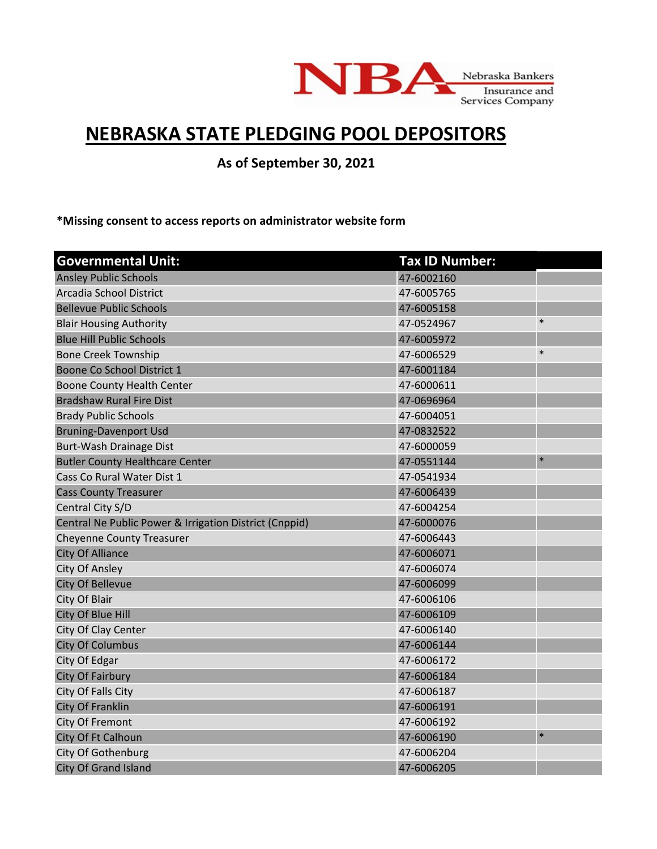

## **NEBRASKA STATE PLEDGING POOL DEPOSITORS**

**As of September 30, 2021**

**\*Missing consent to access reports on administrator website form**

| <b>Governmental Unit:</b>                              | <b>Tax ID Number:</b> |        |
|--------------------------------------------------------|-----------------------|--------|
| <b>Ansley Public Schools</b>                           | 47-6002160            |        |
| Arcadia School District                                | 47-6005765            |        |
| <b>Bellevue Public Schools</b>                         | 47-6005158            |        |
| <b>Blair Housing Authority</b>                         | 47-0524967            | $\ast$ |
| <b>Blue Hill Public Schools</b>                        | 47-6005972            |        |
| <b>Bone Creek Township</b>                             | 47-6006529            | $\ast$ |
| Boone Co School District 1                             | 47-6001184            |        |
| Boone County Health Center                             | 47-6000611            |        |
| <b>Bradshaw Rural Fire Dist</b>                        | 47-0696964            |        |
| <b>Brady Public Schools</b>                            | 47-6004051            |        |
| <b>Bruning-Davenport Usd</b>                           | 47-0832522            |        |
| Burt-Wash Drainage Dist                                | 47-6000059            |        |
| <b>Butler County Healthcare Center</b>                 | 47-0551144            | $\ast$ |
| Cass Co Rural Water Dist 1                             | 47-0541934            |        |
| <b>Cass County Treasurer</b>                           | 47-6006439            |        |
| Central City S/D                                       | 47-6004254            |        |
| Central Ne Public Power & Irrigation District (Cnppid) | 47-6000076            |        |
| <b>Cheyenne County Treasurer</b>                       | 47-6006443            |        |
| <b>City Of Alliance</b>                                | 47-6006071            |        |
| <b>City Of Ansley</b>                                  | 47-6006074            |        |
| City Of Bellevue                                       | 47-6006099            |        |
| City Of Blair                                          | 47-6006106            |        |
| City Of Blue Hill                                      | 47-6006109            |        |
| City Of Clay Center                                    | 47-6006140            |        |
| <b>City Of Columbus</b>                                | 47-6006144            |        |
| City Of Edgar                                          | 47-6006172            |        |
| City Of Fairbury                                       | 47-6006184            |        |
| City Of Falls City                                     | 47-6006187            |        |
| City Of Franklin                                       | 47-6006191            |        |
| City Of Fremont                                        | 47-6006192            |        |
| City Of Ft Calhoun                                     | 47-6006190            | $\ast$ |
| City Of Gothenburg                                     | 47-6006204            |        |
| <b>City Of Grand Island</b>                            | 47-6006205            |        |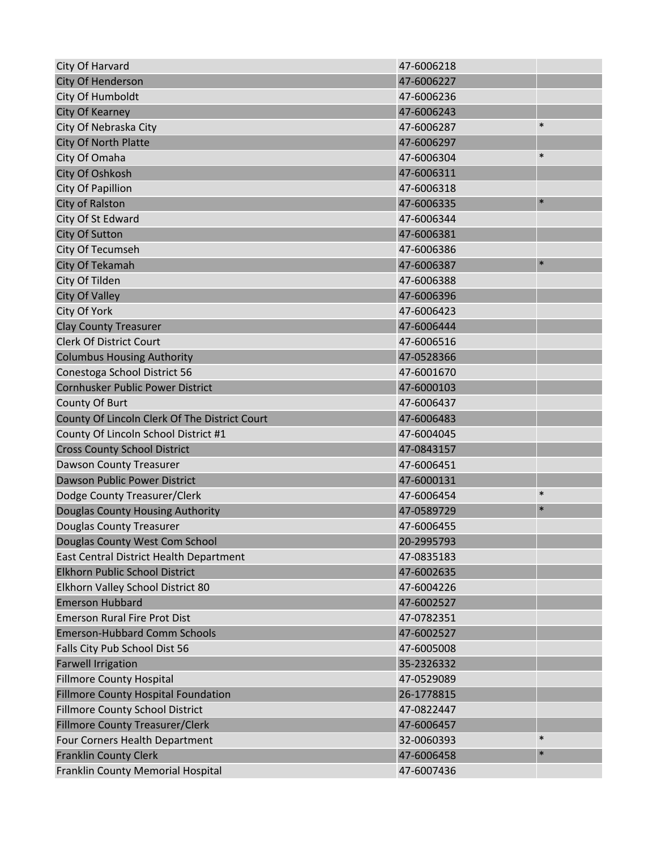| City Of Harvard                               | 47-6006218 |        |
|-----------------------------------------------|------------|--------|
| <b>City Of Henderson</b>                      | 47-6006227 |        |
| City Of Humboldt                              | 47-6006236 |        |
| <b>City Of Kearney</b>                        | 47-6006243 |        |
| City Of Nebraska City                         | 47-6006287 | $\ast$ |
| City Of North Platte                          | 47-6006297 |        |
| City Of Omaha                                 | 47-6006304 | $\ast$ |
| City Of Oshkosh                               | 47-6006311 |        |
| City Of Papillion                             | 47-6006318 |        |
| City of Ralston                               | 47-6006335 | $\ast$ |
| City Of St Edward                             | 47-6006344 |        |
| <b>City Of Sutton</b>                         | 47-6006381 |        |
| City Of Tecumseh                              | 47-6006386 |        |
| City Of Tekamah                               | 47-6006387 | $\ast$ |
| City Of Tilden                                | 47-6006388 |        |
| <b>City Of Valley</b>                         | 47-6006396 |        |
| City Of York                                  | 47-6006423 |        |
| <b>Clay County Treasurer</b>                  | 47-6006444 |        |
| <b>Clerk Of District Court</b>                | 47-6006516 |        |
| <b>Columbus Housing Authority</b>             | 47-0528366 |        |
| Conestoga School District 56                  | 47-6001670 |        |
| Cornhusker Public Power District              | 47-6000103 |        |
| County Of Burt                                | 47-6006437 |        |
| County Of Lincoln Clerk Of The District Court | 47-6006483 |        |
| County Of Lincoln School District #1          | 47-6004045 |        |
| <b>Cross County School District</b>           | 47-0843157 |        |
| <b>Dawson County Treasurer</b>                | 47-6006451 |        |
| Dawson Public Power District                  | 47-6000131 |        |
| Dodge County Treasurer/Clerk                  | 47-6006454 | $\ast$ |
| Douglas County Housing Authority              | 47-0589729 | $\ast$ |
| <b>Douglas County Treasurer</b>               | 47-6006455 |        |
| Douglas County West Com School                | 20-2995793 |        |
| East Central District Health Department       | 47-0835183 |        |
| Elkhorn Public School District                | 47-6002635 |        |
| Elkhorn Valley School District 80             | 47-6004226 |        |
| <b>Emerson Hubbard</b>                        | 47-6002527 |        |
| <b>Emerson Rural Fire Prot Dist</b>           | 47-0782351 |        |
| <b>Emerson-Hubbard Comm Schools</b>           | 47-6002527 |        |
| Falls City Pub School Dist 56                 | 47-6005008 |        |
| <b>Farwell Irrigation</b>                     | 35-2326332 |        |
| <b>Fillmore County Hospital</b>               | 47-0529089 |        |
| Fillmore County Hospital Foundation           | 26-1778815 |        |
| <b>Fillmore County School District</b>        | 47-0822447 |        |
| Fillmore County Treasurer/Clerk               | 47-6006457 |        |
| Four Corners Health Department                | 32-0060393 | $\ast$ |
| <b>Franklin County Clerk</b>                  | 47-6006458 | $\ast$ |
| Franklin County Memorial Hospital             | 47-6007436 |        |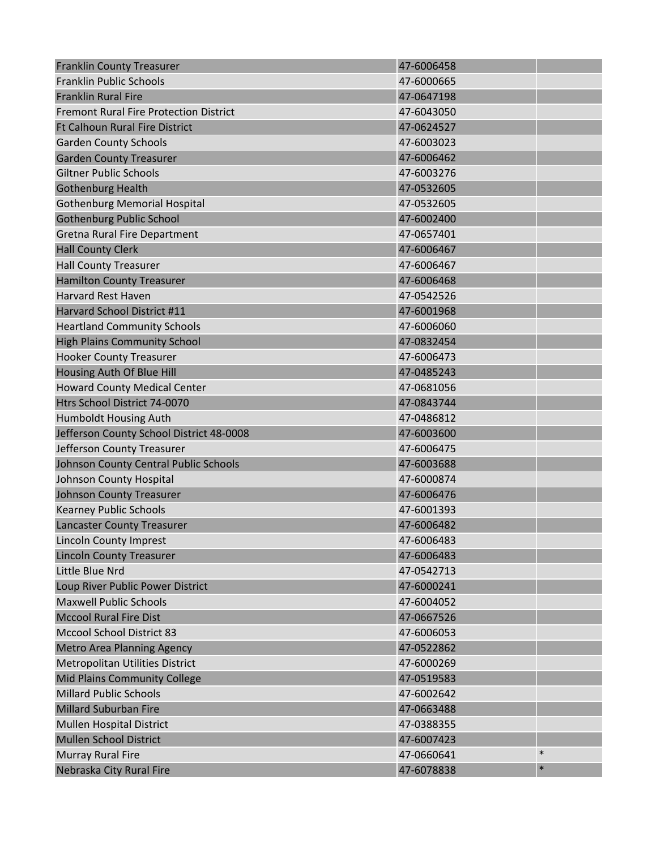| <b>Franklin County Treasurer</b>              | 47-6006458 |        |
|-----------------------------------------------|------------|--------|
| <b>Franklin Public Schools</b>                | 47-6000665 |        |
| <b>Franklin Rural Fire</b>                    | 47-0647198 |        |
| <b>Fremont Rural Fire Protection District</b> | 47-6043050 |        |
| <b>Ft Calhoun Rural Fire District</b>         | 47-0624527 |        |
| <b>Garden County Schools</b>                  | 47-6003023 |        |
| <b>Garden County Treasurer</b>                | 47-6006462 |        |
| <b>Giltner Public Schools</b>                 | 47-6003276 |        |
| <b>Gothenburg Health</b>                      | 47-0532605 |        |
| <b>Gothenburg Memorial Hospital</b>           | 47-0532605 |        |
| <b>Gothenburg Public School</b>               | 47-6002400 |        |
| Gretna Rural Fire Department                  | 47-0657401 |        |
| <b>Hall County Clerk</b>                      | 47-6006467 |        |
| <b>Hall County Treasurer</b>                  | 47-6006467 |        |
| <b>Hamilton County Treasurer</b>              | 47-6006468 |        |
| <b>Harvard Rest Haven</b>                     | 47-0542526 |        |
| Harvard School District #11                   | 47-6001968 |        |
| <b>Heartland Community Schools</b>            | 47-6006060 |        |
| <b>High Plains Community School</b>           | 47-0832454 |        |
| <b>Hooker County Treasurer</b>                | 47-6006473 |        |
| Housing Auth Of Blue Hill                     | 47-0485243 |        |
| <b>Howard County Medical Center</b>           | 47-0681056 |        |
| Htrs School District 74-0070                  | 47-0843744 |        |
| Humboldt Housing Auth                         | 47-0486812 |        |
| Jefferson County School District 48-0008      | 47-6003600 |        |
| Jefferson County Treasurer                    | 47-6006475 |        |
| Johnson County Central Public Schools         | 47-6003688 |        |
| Johnson County Hospital                       | 47-6000874 |        |
| <b>Johnson County Treasurer</b>               | 47-6006476 |        |
| <b>Kearney Public Schools</b>                 | 47-6001393 |        |
| <b>Lancaster County Treasurer</b>             | 47-6006482 |        |
| <b>Lincoln County Imprest</b>                 | 47-6006483 |        |
| <b>Lincoln County Treasurer</b>               | 47-6006483 |        |
| Little Blue Nrd                               | 47-0542713 |        |
| Loup River Public Power District              | 47-6000241 |        |
| <b>Maxwell Public Schools</b>                 | 47-6004052 |        |
| <b>Mccool Rural Fire Dist</b>                 | 47-0667526 |        |
| <b>Mccool School District 83</b>              | 47-6006053 |        |
| <b>Metro Area Planning Agency</b>             | 47-0522862 |        |
| Metropolitan Utilities District               | 47-6000269 |        |
| <b>Mid Plains Community College</b>           | 47-0519583 |        |
| <b>Millard Public Schools</b>                 | 47-6002642 |        |
| <b>Millard Suburban Fire</b>                  | 47-0663488 |        |
| Mullen Hospital District                      | 47-0388355 |        |
| <b>Mullen School District</b>                 | 47-6007423 |        |
| Murray Rural Fire                             | 47-0660641 | $\ast$ |
| Nebraska City Rural Fire                      | 47-6078838 | $\ast$ |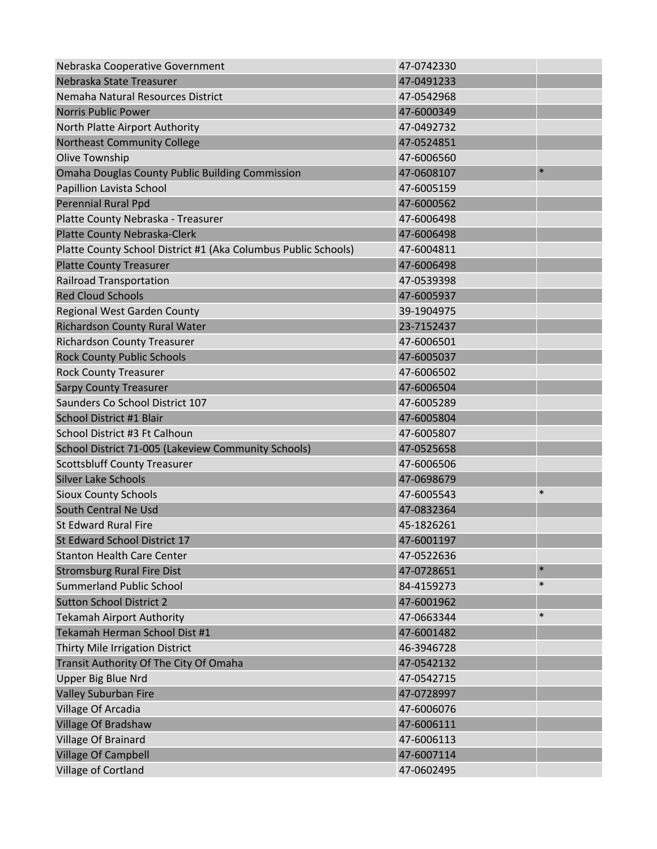| Nebraska Cooperative Government                                | 47-0742330 |        |
|----------------------------------------------------------------|------------|--------|
| Nebraska State Treasurer                                       | 47-0491233 |        |
| Nemaha Natural Resources District                              | 47-0542968 |        |
| <b>Norris Public Power</b>                                     | 47-6000349 |        |
| North Platte Airport Authority                                 | 47-0492732 |        |
| <b>Northeast Community College</b>                             | 47-0524851 |        |
| Olive Township                                                 | 47-6006560 |        |
| <b>Omaha Douglas County Public Building Commission</b>         | 47-0608107 | $\ast$ |
| Papillion Lavista School                                       | 47-6005159 |        |
| Perennial Rural Ppd                                            | 47-6000562 |        |
| Platte County Nebraska - Treasurer                             | 47-6006498 |        |
| <b>Platte County Nebraska-Clerk</b>                            | 47-6006498 |        |
| Platte County School District #1 (Aka Columbus Public Schools) | 47-6004811 |        |
| <b>Platte County Treasurer</b>                                 | 47-6006498 |        |
| <b>Railroad Transportation</b>                                 | 47-0539398 |        |
| <b>Red Cloud Schools</b>                                       | 47-6005937 |        |
| Regional West Garden County                                    | 39-1904975 |        |
| Richardson County Rural Water                                  | 23-7152437 |        |
| <b>Richardson County Treasurer</b>                             | 47-6006501 |        |
| <b>Rock County Public Schools</b>                              | 47-6005037 |        |
| <b>Rock County Treasurer</b>                                   | 47-6006502 |        |
| <b>Sarpy County Treasurer</b>                                  | 47-6006504 |        |
| Saunders Co School District 107                                | 47-6005289 |        |
| School District #1 Blair                                       | 47-6005804 |        |
| School District #3 Ft Calhoun                                  | 47-6005807 |        |
| School District 71-005 (Lakeview Community Schools)            | 47-0525658 |        |
| <b>Scottsbluff County Treasurer</b>                            | 47-6006506 |        |
| <b>Silver Lake Schools</b>                                     | 47-0698679 |        |
| <b>Sioux County Schools</b>                                    | 47-6005543 | $\ast$ |
| South Central Ne Usd                                           | 47-0832364 |        |
| <b>St Edward Rural Fire</b>                                    | 45-1826261 |        |
| St Edward School District 17                                   | 47-6001197 |        |
| <b>Stanton Health Care Center</b>                              | 47-0522636 |        |
| <b>Stromsburg Rural Fire Dist</b>                              | 47-0728651 | $\ast$ |
| <b>Summerland Public School</b>                                | 84-4159273 | $\ast$ |
| <b>Sutton School District 2</b>                                | 47-6001962 |        |
| <b>Tekamah Airport Authority</b>                               | 47-0663344 | $\ast$ |
| Tekamah Herman School Dist #1                                  | 47-6001482 |        |
| Thirty Mile Irrigation District                                | 46-3946728 |        |
| Transit Authority Of The City Of Omaha                         | 47-0542132 |        |
| Upper Big Blue Nrd                                             | 47-0542715 |        |
| Valley Suburban Fire                                           | 47-0728997 |        |
| Village Of Arcadia                                             | 47-6006076 |        |
| Village Of Bradshaw                                            | 47-6006111 |        |
| Village Of Brainard                                            | 47-6006113 |        |
| <b>Village Of Campbell</b>                                     | 47-6007114 |        |
| Village of Cortland                                            | 47-0602495 |        |